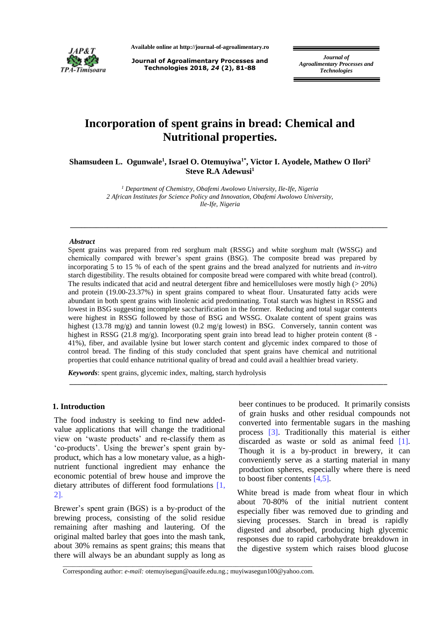

**Available online at http://journal-of-agroalimentary.ro**

**Journal of Agroalimentary Processes and Technologies 2018,** *24* **(2), 81-88**

*Journal of Agroalimentary Processes and Technologies*

# **Incorporation of spent grains in bread: Chemical and Nutritional properties.**

**Shamsudeen L. Ogunwale<sup>1</sup> , Israel O. Otemuyiwa1\*, Victor I. Ayodele, Mathew O Ilori<sup>2</sup> Steve R.A Adewusi<sup>1</sup>**

> *<sup>1</sup> Department of Chemistry, Obafemi Awolowo University, Ile-Ife, Nigeria 2 African Institutes for Science Policy and Innovation, Obafemi Awolowo University, Ile-Ife, Nigeria*

**\_\_\_\_\_\_\_\_\_\_\_\_\_\_\_\_\_\_\_\_\_\_\_\_\_\_\_\_\_\_\_\_\_\_\_\_\_\_\_\_\_\_\_\_\_\_\_\_\_\_\_\_\_\_\_\_\_\_\_\_\_\_\_\_\_\_\_\_\_\_\_\_\_\_\_\_\_\_\_\_\_\_\_\_\_\_**

#### *Abstract*

Spent grains was prepared from red sorghum malt (RSSG) and white sorghum malt (WSSG) and chemically compared with brewer's spent grains (BSG). The composite bread was prepared by incorporating 5 to 15 % of each of the spent grains and the bread analyzed for nutrients and *in-vitro* starch digestibility. The results obtained for composite bread were compared with white bread (control). The results indicated that acid and neutral detergent fibre and hemicelluloses were mostly high  $(> 20\%)$ and protein (19.00-23.37%) in spent grains compared to wheat flour. Unsaturated fatty acids were abundant in both spent grains with linolenic acid predominating. Total starch was highest in RSSG and lowest in BSG suggesting incomplete saccharification in the former. Reducing and total sugar contents were highest in RSSG followed by those of BSG and WSSG. Oxalate content of spent grains was highest (13.78 mg/g) and tannin lowest (0.2 mg/g lowest) in BSG. Conversely, tannin content was highest in RSSG (21.8 mg/g). Incorporating spent grain into bread lead to higher protein content (8 -41%), fiber, and available lysine but lower starch content and glycemic index compared to those of control bread. The finding of this study concluded that spent grains have chemical and nutritional properties that could enhance nutritional quality of bread and could avail a healthier bread variety.

**\_\_\_\_\_\_\_\_\_\_\_\_\_\_\_\_\_\_\_\_\_\_\_\_\_\_\_\_\_\_\_\_\_\_\_\_\_\_\_\_\_\_\_\_\_\_\_\_\_\_\_\_\_\_\_\_\_\_\_\_\_\_\_\_\_\_\_\_\_\_\_\_\_\_\_\_\_\_\_\_\_\_\_\_\_\_**

*Keywords*: spent grains, glycemic index, malting, starch hydrolysis

## **1. Introduction**

The food industry is seeking to find new addedvalue applications that will change the traditional view on 'waste products' and re-classify them as 'co-products'. Using the brewer's spent grain byproduct, which has a low monetary value, as a highnutrient functional ingredient may enhance the economic potential of brew house and improve the dietary attributes of different food formulations [1, 2].

Brewer's spent grain (BGS) is a by-product of the brewing process, consisting of the solid residue remaining after mashing and lautering. Of the original malted barley that goes into the mash tank, about 30% remains as spent grains; this means that there will always be an abundant supply as long as

beer continues to be produced. It primarily consists of grain husks and other residual compounds not converted into fermentable sugars in the mashing process [3]. Traditionally this material is either discarded as waste or sold as animal feed [1]. Though it is a by-product in brewery, it can conveniently serve as a starting material in many production spheres, especially where there is need to boost fiber contents [4,5].

White bread is made from wheat flour in which about 70-80% of the initial nutrient content especially fiber was removed due to grinding and sieving processes. Starch in bread is rapidly digested and absorbed, producing high glycemic responses due to rapid carbohydrate breakdown in the digestive system which raises blood glucose

\_\_\_\_\_\_\_\_\_\_\_\_\_\_\_\_\_\_\_\_\_\_\_\_\_\_\_\_\_\_\_\_\_\_\_\_\_\_\_\_\_\_\_\_\_\_\_\_\_\_\_\_\_\_\_\_\_\_\_\_\_\_\_\_\_\_\_\_\_\_\_\_\_\_\_ Corresponding author: *e-mail:* [otemuyisegun@oauife.edu.ng.](mailto:otemuyisegun@oauife.edu.ng); muyiwasegun100@yahoo.com.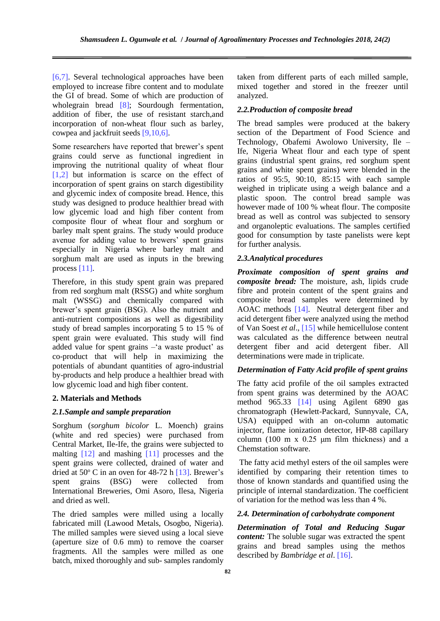[6,7]. Several technological approaches have been employed to increase fibre content and to modulate the GI of bread. Some of which are production of wholegrain bread [8]; Sourdough fermentation, addition of fiber, the use of resistant starch,and incorporation of non-wheat flour such as barley, cowpea and jackfruit seeds [9,10,6].

Some researchers have reported that brewer's spent grains could serve as functional ingredient in improving the nutritional quality of wheat flour [1,2] but information is scarce on the effect of incorporation of spent grains on starch digestibility and glycemic index of composite bread. Hence, this study was designed to produce healthier bread with low glycemic load and high fiber content from composite flour of wheat flour and sorghum or barley malt spent grains. The study would produce avenue for adding value to brewers' spent grains especially in Nigeria where barley malt and sorghum malt are used as inputs in the brewing process [11].

Therefore, in this study spent grain was prepared from red sorghum malt (RSSG) and white sorghum malt (WSSG) and chemically compared with brewer's spent grain (BSG). Also the nutrient and anti-nutrient compositions as well as digestibility study of bread samples incorporating 5 to 15 % of spent grain were evaluated. This study will find added value for spent grains –'a waste product' as co-product that will help in maximizing the potentials of abundant quantities of agro-industrial by-products and help produce a healthier bread with low glycemic load and high fiber content.

### **2. Materials and Methods**

#### *2.1.Sample and sample preparation*

Sorghum (*sorghum bicolor* L. Moench) grains (white and red species) were purchased from Central Market, Ile-Ife, the grains were subjected to malting [12] and mashing [11] processes and the spent grains were collected, drained of water and dried at  $50^{\circ}$  C in an oven for 48-72 h [13]. Brewer's spent grains (BSG) were collected from International Breweries, Omi Asoro, Ilesa, Nigeria and dried as well.

The dried samples were milled using a locally fabricated mill (Lawood Metals, Osogbo, Nigeria). The milled samples were sieved using a local sieve (aperture size of 0.6 mm) to remove the coarser fragments. All the samples were milled as one batch, mixed thoroughly and sub- samples randomly taken from different parts of each milled sample, mixed together and stored in the freezer until analyzed.

### *2.2.Production of composite bread*

The bread samples were produced at the bakery section of the Department of Food Science and Technology, Obafemi Awolowo University, Ile – Ife, Nigeria Wheat flour and each type of spent grains (industrial spent grains, red sorghum spent grains and white spent grains) were blended in the ratios of 95:5, 90:10, 85:15 with each sample weighed in triplicate using a weigh balance and a plastic spoon. The control bread sample was however made of 100 % wheat flour. The composite bread as well as control was subjected to sensory and organoleptic evaluations. The samples certified good for consumption by taste panelists were kept for further analysis.

### *2.3.Analytical procedures*

*Proximate composition of spent grains and composite bread:* The moisture, ash, lipids crude fibre and protein content of the spent grains and composite bread samples were determined by AOAC methods [14]. Neutral detergent fiber and acid detergent fiber were analyzed using the method of Van Soest *et al*., [15] while hemicellulose content was calculated as the difference between neutral detergent fiber and acid detergent fiber. All determinations were made in triplicate.

## *Determination of Fatty Acid profile of spent grains*

The fatty acid profile of the oil samples extracted from spent grains was determined by the AOAC method 965.33 [14] using Agilent 6890 gas chromatograph (Hewlett-Packard, Sunnyvale, CA, USA) equipped with an on-column automatic injector, flame ionization detector, HP-88 capillary column (100 m x 0.25 μm film thickness) and a Chemstation software.

The fatty acid methyl esters of the oil samples were identified by comparing their retention times to those of known standards and quantified using the principle of internal standardization. The coefficient of variation for the method was less than 4 %.

### *2.4. Determination of carbohydrate component*

*Determination of Total and Reducing Sugar content:* The soluble sugar was extracted the spent grains and bread samples using the methos described by *Bambridge et al*. [16].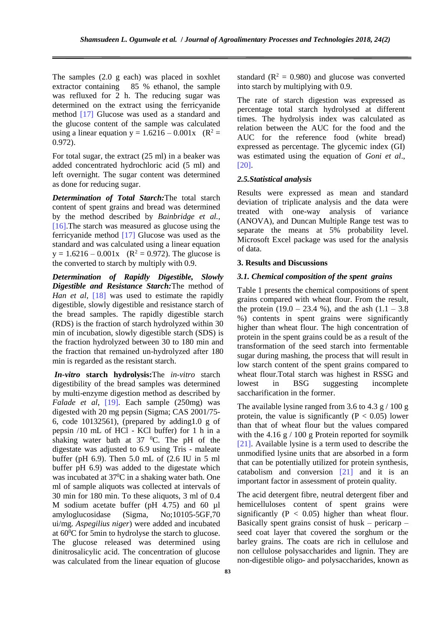The samples (2.0 g each) was placed in soxhlet extractor containing 85 % ethanol, the sample was refluxed for 2 h. The reducing sugar was determined on the extract using the ferricyanide method [17] Glucose was used as a standard and the glucose content of the sample was calculated using a linear equation  $y = 1.6216 - 0.001x$  (R<sup>2</sup> = 0.972).

For total sugar, the extract (25 ml) in a beaker was added concentrated hydrochloric acid (5 ml) and left overnight. The sugar content was determined as done for reducing sugar.

*Determination of Total Starch:*The total starch content of spent grains and bread was determined by the method described by *Bainbridge et al.,* [16].The starch was measured as glucose using the ferricyanide method [17] Glucose was used as the standard and was calculated using a linear equation  $y = 1.6216 - 0.001x$  (R<sup>2</sup> = 0.972). The glucose is the converted to starch by multiply with 0.9.

*Determination of Rapidly Digestible, Slowly Digestible and Resistance Starch:*The method of *Han et al.* [18] was used to estimate the rapidly digestible, slowly digestible and resistance starch of the bread samples. The rapidly digestible starch (RDS) is the fraction of starch hydrolyzed within 30 min of incubation, slowly digestible starch (SDS) is the fraction hydrolyzed between 30 to 180 min and the fraction that remained un-hydrolyzed after 180 min is regarded as the resistant starch.

*In-vitro* **starch hydrolysis:**The *in-vitro* starch digestibility of the bread samples was determined by multi-enzyme digestion method as described by *Falade et al*, [19]. Each sample (250mg) was digested with 20 mg pepsin (Sigma; CAS 2001/75- 6, code 10132561), (prepared by adding1.0 g of pepsin /10 mL of HCl - KCl buffer) for 1 h in a shaking water bath at  $37 \degree$ C. The pH of the digestate was adjusted to 6.9 using Tris - maleate buffer (pH 6.9). Then 5.0 mL of (2.6 IU in 5 ml buffer pH 6.9) was added to the digestate which was incubated at  $37^{\circ}$ C in a shaking water bath. One ml of sample aliquots was collected at intervals of 30 min for 180 min. To these aliquots, 3 ml of 0.4 M sodium acetate buffer (pH 4.75) and 60 µl amyloglucosidase (Sigma, No;10105-5GF,70 ui/mg. *Aspegilius niger*) were added and incubated at 60<sup>0</sup>C for 5min to hydrolyse the starch to glucose. The glucose released was determined using dinitrosalicylic acid. The concentration of glucose was calculated from the linear equation of glucose

standard  $(R^2 = 0.980)$  and glucose was converted into starch by multiplying with 0.9.

The rate of starch digestion was expressed as percentage total starch hydrolysed at different times. The hydrolysis index was calculated as relation between the AUC for the food and the AUC for the reference food (white bread) expressed as percentage. The glycemic index (GI) was estimated using the equation of *Goni et al*., [20].

## *2.5.Statistical analysis*

Results were expressed as mean and standard deviation of triplicate analysis and the data were treated with one-way analysis of variance (ANOVA), and Duncan Multiple Range test was to separate the means at 5% probability level. Microsoft Excel package was used for the analysis of data.

#### **3. Results and Discussions**

#### *3.1. Chemical composition of the spent grains*

Table 1 presents the chemical compositions of spent grains compared with wheat flour. From the result, the protein  $(19.0 - 23.4 %)$ , and the ash  $(1.1 - 3.8)$ %) contents in spent grains were significantly higher than wheat flour. The high concentration of protein in the spent grains could be as a result of the transformation of the seed starch into fermentable sugar during mashing, the process that will result in low starch content of the spent grains compared to wheat flour.Total starch was highest in RSSG and lowest in BSG suggesting incomplete saccharification in the former.

The available lysine ranged from 3.6 to 4.3  $\frac{g}{100}$  g protein, the value is significantly ( $P < 0.05$ ) lower than that of wheat flour but the values compared with the 4.16 g  $/$  100 g Protein reported for soymilk [21]. Available lysine is a term used to describe the unmodified lysine units that are absorbed in a form that can be potentially utilized for protein synthesis, catabolism and conversion [21] and it is an important factor in assessment of protein quality.

The acid detergent fibre, neutral detergent fiber and hemicelluloses content of spent grains were significantly  $(P < 0.05)$  higher than wheat flour. Basically spent grains consist of husk – pericarp – seed coat layer that covered the sorghum or the barley grains. The coats are rich in cellulose and non cellulose polysaccharides and lignin. They are non-digestible oligo- and polysaccharides, known as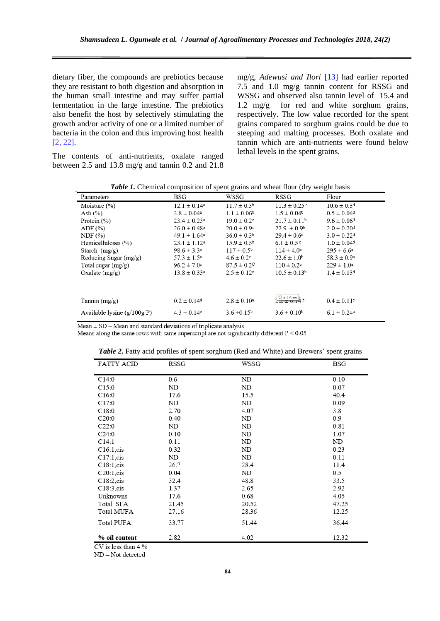dietary fiber, the compounds are prebiotics because they are resistant to both digestion and absorption in the human small intestine and may suffer partial fermentation in the large intestine. The prebiotics also benefit the host by selectively stimulating the growth and/or activity of one or a limited number of bacteria in the colon and thus improving host health [2, 22].

mg/g, *Adewusi and Ilori* [13] had earlier reported 7.5 and 1.0 mg/g tannin content for RSSG and WSSG and observed also tannin level of 15.4 and 1.2 mg/g for red and white sorghum grains, respectively. The low value recorded for the spent grains compared to sorghum grains could be due to steeping and malting processes. Both oxalate and tannin which are anti-nutrients were found below lethal levels in the spent grains.

The contents of anti-nutrients, oxalate ranged between 2.5 and 13.8 mg/g and tannin 0.2 and 21.8

| <b>Table 1.</b> Chemical composition of spent grains and wheat flour (dry weight basis |                              |                             |                              |                             |  |  |  |
|----------------------------------------------------------------------------------------|------------------------------|-----------------------------|------------------------------|-----------------------------|--|--|--|
| Parameters                                                                             | <b>BSG</b>                   | WSSG                        | RSSG                         | Flour                       |  |  |  |
| Moisture $(\% )$                                                                       | $12.1 \pm 0.14$ <sup>a</sup> | $11.7 \pm 0.3^{\circ}$      | $11.3 \pm 0.25$ <sup>c</sup> | $10.6 \pm 0.3$ <sup>d</sup> |  |  |  |
| Ash $(\%)$                                                                             | $3.8 \pm 0.04^a$             | $1.1 \pm 0.06^{\circ}$      | $1.5 \pm 0.04^{\circ}$       | $0.5 \pm 0.04$ <sup>d</sup> |  |  |  |
| Protein $(\% )$                                                                        | $23.4 \pm 0.23^a$            | $19.0 \pm 0.2$ <sup>c</sup> | $21.7 \pm 0.11^b$            | $9.6 \pm 0.06$ <sup>d</sup> |  |  |  |
| ADF $(\% )$                                                                            | $26.0 \pm 0.48$ <sup>a</sup> | $20.0 \pm 0.9$ <sup>c</sup> | $22.9 \pm 0.9^{\circ}$       | $2.0 \pm 0.20$ <sup>d</sup> |  |  |  |
| NDF(%)                                                                                 | $49.1 \pm 1.64$ <sup>a</sup> | $36.0 \pm 0.3^{\circ}$      | $29.4 \pm 0.6^{\circ}$       | $3.0 \pm 0.22$ <sup>d</sup> |  |  |  |
| Hemicelluloses (%)                                                                     | $23.1 \pm 1.12^a$            | $15.9 \pm 0.5^{\circ}$      | $6.1 \pm 0.5$ c              | $1.0 \pm 0.04$ <sup>d</sup> |  |  |  |
| Starch $(mg/g)$                                                                        | $98.6 \pm 3.3$ c             | $117 \pm 0.5^{\circ}$       | $114 \pm 4.0^b$              | $295 \pm 6.6^a$             |  |  |  |
| Reducing Sugar $(mg/g)$                                                                | $57.3 \pm 1.5^{\rm a}$       | $4.6 \pm 0.2$ °             | $22.6 \pm 1.0^b$             | $58.3 \pm 0.9^{\circ}$      |  |  |  |
| Total sugar $(mg/g)$                                                                   | $96.2 \pm 7.0$ °             | $87.5 \pm 0.2^{\circ}$      | $110 \pm 0.2^b$              | $229 \pm 1.0^a$             |  |  |  |
| Oxalate $(mg/g)$                                                                       | $13.8 \pm 0.33$ <sup>a</sup> | $2.5 \pm 0.12$ <sup>c</sup> | $10.5 \pm 0.13^b$            | $1.4 \pm 0.13$ <sup>d</sup> |  |  |  |
|                                                                                        |                              |                             |                              |                             |  |  |  |
| Tannin $(mg/g)$                                                                        | $0.2 \pm 0.14$ <sup>d</sup>  | $2.8 \pm 0.10^a$            | Chart Area $\downarrow$ b    | $0.4 \pm 0.11$ <sup>c</sup> |  |  |  |
| Available lysine $(g/100gP)$                                                           | $4.3 \pm 0.14$ c             | $3.6 \pm 0.15^{\circ}$      | $3.6 \pm 0.10^b$             | $6.1 \pm 0.24^a$            |  |  |  |

*Table 1.* Chemical composition of spent grains and wheat flour (dry weight basis

 $Mean \pm SD - Mean$  and standard deviations of triplicate analysis

Means along the same rows with same superscript are not significantly different  $P < 0.05$ 

| <b>FATTY ACID</b> | RSSG  | WSSG  | BSG   |
|-------------------|-------|-------|-------|
| C14:0             | 0.6   | ND    | 0.10  |
| C15:0             | ND    | ND    | 0.07  |
| C16:0             | 17.6  | 15.5  | 40.4  |
| C17:0             | ND    | ND    | 0.09  |
| C18:0             | 2.70  | 4.07  | 3.8   |
| C20:0             | 0.40  | ND    | 0.9   |
| C22:0             | ND    | ND    | 0.81  |
| C24:0             | 0.10  | ND    | 1.07  |
| C14:1             | 0.11  | ND    | ND    |
| C16:1, cis        | 0.32  | ND    | 0.23  |
| C17:1, cis        | ND    | ND    | 0.11  |
| C18:1, cis        | 26.7  | 28.4  | 11.4  |
| C20:1, cis        | 0.04  | ND    | 0.5   |
| $C18:2$ , cis     | 32.4  | 48.8  | 33.5  |
| C18:3, cis        | 1.37  | 2.65  | 2.92  |
| Unknowns          | 17.6  | 0.68  | 4.05  |
| Total SFA         | 21.45 | 20.52 | 47.25 |
| Total MUFA        | 27.16 | 28.36 | 12.25 |
| <b>Total PUFA</b> | 33.77 | 51.44 | 36.44 |
| % oil content     | 2.82  | 4.02  | 12.32 |

*Table 2.* Fatty acid profiles of spent sorghum (Red and White) and Brewers' spent grains

 $CV$  is less than 4 %

ND-Not detected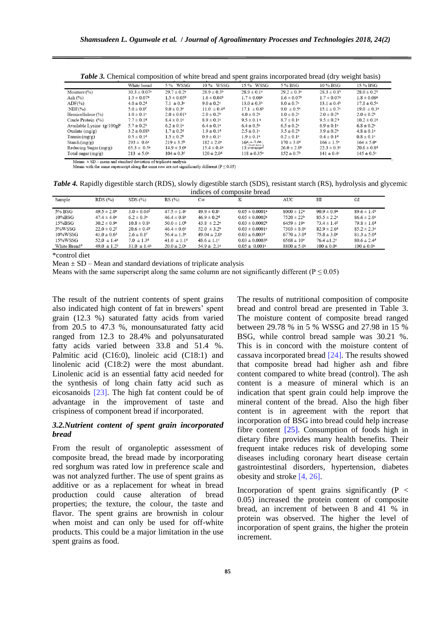| .<br>$r_{\rm{F}}$ and $r_{\rm{F}}$<br>$1.1.001$ por week of example $1.001$<br>$\cdots$                                                                               |                              |                             |                             |                                  |                             |                             |                             |
|-----------------------------------------------------------------------------------------------------------------------------------------------------------------------|------------------------------|-----------------------------|-----------------------------|----------------------------------|-----------------------------|-----------------------------|-----------------------------|
|                                                                                                                                                                       | White bread                  | 5 % WSSG                    | 10 % WSSG                   | 15 % WSSG                        | 5 % BSG                     | 10 % BSG                    | 15 % BSG                    |
| Moisture $(\% )$                                                                                                                                                      | $30.3 \pm 0.07$ <sup>a</sup> | $29.7 \pm 0.2^a$            | $28.9 \pm 0.3^{\circ}$      | $28.9 \pm 0.1^a$                 | $29.2 \pm 0.3^a$            | $28.3 \pm 0.1^b$            | $28.0 \pm 0.2^b$            |
| Ash $(\% )$                                                                                                                                                           | $1.5 \pm 0.07^{\circ}$       | $1.5 \pm 0.05^{\circ}$      | $1.6 \pm 0.04^b$            | $1.7 \pm 0.06^{\text{a}}$        | $1.6 \pm 0.07$ <sup>b</sup> | $1.7 \pm 0.07$ <sup>a</sup> | $1.8 \pm 0.06^a$            |
| $ADF(\% )$                                                                                                                                                            | $4.0 \pm 0.2$ <sup>d</sup>   | 7.1 $\pm$ 0.3 <sup>c</sup>  | $9.0 \pm 0.2$               | $13.0 \pm 0.3b$                  | $8.0 \pm 0.7$ <sup>c</sup>  | $13.1 \pm 0.4^{\circ}$      | $17.1 \pm 0.5^{\circ}$      |
| $NDF(\%)$                                                                                                                                                             | $5.0 \pm 0.0$ <sup>f</sup>   | $9.0 \pm 0.3$ <sup>e</sup>  | $11.0 \pm 0.4$ <sup>d</sup> | $17.1 \pm 0.6^{\circ}$           | 9.0 $\pm$ 0.5 <sup>e</sup>  | $15.1 \pm 0.7$ °            | $19.0 \pm 0.3^{\circ}$      |
| Hemicellulose $(\%)$                                                                                                                                                  | $1.0 \pm 0.1$ c              | $2.0 \pm 0.01$ <sup>b</sup> | $2.0 \pm 0.2^b$             | $4.0 \pm 0.2^a$                  | $1.0 \pm 0.2$ <sup>c</sup>  | $2.0 \pm 0.2^b$             | $2.0 \pm 0.2^b$             |
| Crude Protein (%)                                                                                                                                                     | $7.7 \pm 0.1$ <sup>d</sup>   | $8.4 \pm 0.1$ c             | $8.9 \pm 0.1$ c             | $9.5 \pm 0.1$ <sup>a</sup>       | $8.7 \pm 0.1$ c             | $9.5 \pm 0.2^{\circ}$       | $10.2 \pm 0.1^a$            |
| Available Lysine $(g/100gP)$                                                                                                                                          | $5.7 \pm 0.2^{\rm b}$        | $6.2 \pm 0.1$ <sup>a</sup>  | $6.4 \pm 0.1^a$             | $6.4 \pm 0.5^{\rm a}$            | $6.5 \pm 0.2^a$             | $6.9 \pm 0.1$ <sup>a</sup>  | $6.8 \pm 0.2^a$             |
| Oxalate $(mg/g)$                                                                                                                                                      | $3.2 \pm 0.08^{\circ}$       | $1.7 \pm 0.2$ <sup>d</sup>  | $1.9 \pm 0.1$ <sup>d</sup>  | $2.5 \pm 0.1$ c                  | $3.5 \pm 0.2^b$             | $3.9 \pm 0.2^b$             | $4.8 \pm 0.1^a$             |
| Tannin $(mg/g)$                                                                                                                                                       | $0.5 \pm 0.14$               | $1.5 \pm 0.2^{\circ}$       | $0.9 \pm 0.1$ c             | $1.9 \pm 0.1^a$                  | $0.2 \pm 0.1$ <sup>e</sup>  | $0.4 \pm 0.14$              | $0.8 \pm 0.1$ c             |
| Starch $(mg/g)$                                                                                                                                                       | $293 \pm 0.6^{\circ}$        | $219 \pm 3.5^{\circ}$       | $182 \pm 2.0$ <sup>c</sup>  | $166 + 70e$<br><b>Chart Area</b> | $170 \pm 3.0$ <sup>d</sup>  | $166 \pm 1.5^{\circ}$       | $164 \pm 5.0^{\circ}$       |
| Reducing Sugar $(mg/g)$                                                                                                                                               | $65.3 \pm 0.5^{\circ}$       | $14.9 \pm 3.0^e$            | $15.4 \pm 0.4$ <sup>e</sup> | $13.7 \pm 0.0$ <sup>-1</sup>     | $26.0 \pm 2.0^{\circ}$      | $22.3 \pm 0.3$ °            | $20.6 \pm 0.8$ <sup>d</sup> |
| Total sugar $(mg/g)$                                                                                                                                                  | $213 \pm 5.0^{\rm a}$        | $104 \pm 0.3$ <sup>f</sup>  | $120 \pm 2.0$ <sup>d</sup>  | $118 \pm 0.35$ <sup>e</sup>      | $152 \pm 0.7$ <sup>b</sup>  | $141 \pm 0.4^{\circ}$       | $145 \pm 0.5^{\circ}$       |
| $\mathbf{M}$ and $\mathbf{M}$ are $\mathbf{M}$ and $\mathbf{M}$ are $\mathbf{M}$ and $\mathbf{M}$ are $\mathbf{M}$ and $\mathbf{M}$ are $\mathbf{M}$ and $\mathbf{M}$ |                              |                             |                             |                                  |                             |                             |                             |

*Table 3.* Chemical composition of white bread and spent grains incorporated bread (dry weight basis)

on of triplicate analysis Means with the same superscript along the same row are not significantly different ( $P \le 0.05$ )

*Table 4.* Rapidly digestible starch (RDS), slowly digestible starch (SDS), resistant starch (RS), hydrolysis and glycemic indices of composite bread

| Sample       | RDS(%)                      | SDS(%)                      | $RS(\%)$                    | $C\infty$                   | K                              | AUC                         | ΗΙ                          | GI                          |
|--------------|-----------------------------|-----------------------------|-----------------------------|-----------------------------|--------------------------------|-----------------------------|-----------------------------|-----------------------------|
|              |                             |                             |                             |                             |                                |                             |                             |                             |
| 5% BSG       | $49.5 \pm 2.0^b$            | $3.0 \pm 0.04$ <sup>f</sup> | $47.5 \pm 1.4$ c            | $49.9 \pm 0.8$ °            | $0.05 \pm 0.0001$ <sup>a</sup> | $8000 \pm 12$ <sup>a</sup>  | $90.9 \pm 0.9^{\circ}$      | $89.6 \pm 1.4^{\circ}$      |
| $10\%$ BSG   | $47.4 \pm 4.0^{\circ}$      | $6.2 \pm 0.3^e$             | $46.4 \pm 0.8$ c            | $46.9 \pm 0.2$ <sup>d</sup> | $0.05 \pm 0.0002$ <sup>a</sup> | $7520 \pm 22^{b}$           | $85.5 \pm 2.2$              | $86.6 \pm 2.0$              |
| $15\%$ BSG   | $30.2 \pm 0.9$ <sup>e</sup> | $10.8 \pm 0.8$ c            | $50.0 \pm 1.0^{\circ}$      | $43.8 \pm 2.2$ <sup>e</sup> | $0.03 \pm 0.0002$ <sup>b</sup> | $6459 \pm 19$ <sup>e</sup>  | $73.4 \pm 1.4$ <sup>f</sup> | $79.8 \pm 1.6^d$            |
| 5%WSSG       | $22.0 \pm 0.2$ <sup>f</sup> | $20.6 \pm 0.4^{\circ}$      | $46.4 \pm 0.6$ c            | $52.0 \pm 3.2^b$            | $0.03 \pm 0.0001$ c            | $7303 \pm 8.0$ °            | $82.9 \pm 2.6^{\circ}$      | $85.2 \pm 2.3$ °            |
| $10\%$ WSSG  | $41.0 \pm 0.6$ <sup>d</sup> | $2.6 \pm 0.1$ f             | $56.4 \pm 1.3^a$            | $49.04 \pm 2.0$ °           | $0.03 \pm 0.003$ <sup>d</sup>  | $6770 \pm 3.0$ <sup>d</sup> | $75.8 \pm 3.0^{\circ}$      | $81.3 \pm 5.0$ <sup>d</sup> |
| 15%WSSG      | 52.0 $\pm$ 1.4 <sup>a</sup> | $7.0 \pm 1.3$ <sup>d</sup>  | $41.0 \pm 1.1$ <sup>d</sup> | $48.6 \pm 1.1$ °            | $0.03 \pm 0.0003$ <sup>d</sup> | $6568 \pm 10^6$             | $76.4 \pm 1.2$ <sup>e</sup> | $80.6 \pm 2.4$ <sup>d</sup> |
| White Bread* | $49.0 \pm 1.2^b$            | $31.0 \pm 1.4^{\circ}$      | $20.0 \pm 2.0$ <sup>e</sup> | $54.9 \pm 2.1^a$            | $0.05 \pm 0.001^{\circ}$       | $8800 \pm 5.0^{\circ}$      | $100 \pm 0.0^{\circ}$       | $100 \pm 0.0^a$             |
|              |                             |                             |                             |                             |                                |                             |                             |                             |

\*control diet

Mean  $\pm$  SD – Mean and standard deviations of triplicate analysis

Means with the same superscript along the same column are not significantly different ( $P \le 0.05$ )

The result of the nutrient contents of spent grains also indicated high content of fat in brewers' spent grain (12.3 %) saturated fatty acids from varied from 20.5 to 47.3 %, monounsaturated fatty acid ranged from 12.3 to 28.4% and polyunsaturated fatty acids varied between 33.8 and 51.4 %. Palmitic acid (C16:0), linoleic acid (C18:1) and linolenic acid (C18:2) were the most abundant. Linolenic acid is an essential fatty acid needed for the synthesis of long chain fatty acid such as eicosanoids [23]. The high fat content could be of advantage in the improvement of taste and crispiness of component bread if incorporated.

# *3.2.Nutrient content of spent grain incorporated bread*

From the result of organoleptic assessment of composite bread, the bread made by incorporating red sorghum was rated low in preference scale and was not analyzed further. The use of spent grains as additive or as a replacement for wheat in bread production could cause alteration of bread properties; the texture, the colour, the taste and flavor. The spent grains are brownish in colour when moist and can only be used for off-white products. This could be a major limitation in the use spent grains as food.

The results of nutritional composition of composite bread and control bread are presented in Table 3. The moisture content of composite bread ranged between 29.78 % in 5 % WSSG and 27.98 in 15 % BSG, while control bread sample was 30.21 %. This is in concord with the moisture content of cassava incorporated bread [24]. The results showed that composite bread had higher ash and fibre content compared to white bread (control). The ash content is a measure of mineral which is an indication that spent grain could help improve the mineral content of the bread. Also the high fiber content is in agreement with the report that incorporation of BSG into bread could help increase fibre content  $[25]$ . Consumption of foods high in dietary fibre provides many health benefits. Their frequent intake reduces risk of developing some diseases including coronary heart disease certain gastrointestinal disorders, hypertension, diabetes obesity and stroke [4, 26].

Incorporation of spent grains significantly  $(P \leq$ 0.05) increased the protein content of composite bread, an increment of between 8 and 41 % in protein was observed. The higher the level of incorporation of spent grains, the higher the protein increment.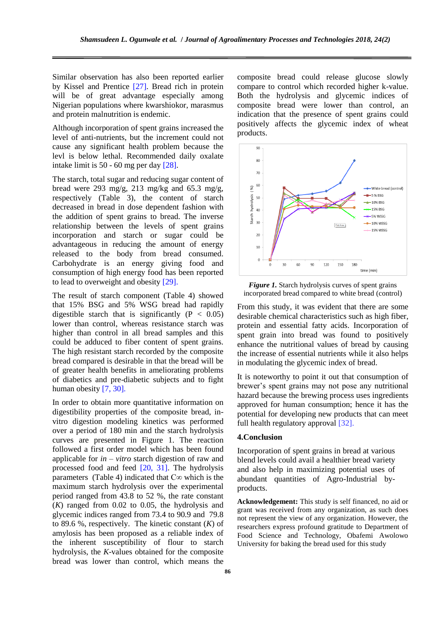Similar observation has also been reported earlier by Kissel and Prentice [27]. Bread rich in protein will be of great advantage especially among Nigerian populations where kwarshiokor, marasmus and protein malnutrition is endemic.

Although incorporation of spent grains increased the level of anti-nutrients, but the increment could not cause any significant health problem because the levl is below lethal. Recommended daily oxalate intake limit is 50 - 60 mg per day [28].

The starch, total sugar and reducing sugar content of bread were 293 mg/g, 213 mg/kg and 65.3 mg/g, respectively (Table 3), the content of starch decreased in bread in dose dependent fashion with the addition of spent grains to bread. The inverse relationship between the levels of spent grains incorporation and starch or sugar could be advantageous in reducing the amount of energy released to the body from bread consumed. Carbohydrate is an energy giving food and consumption of high energy food has been reported to lead to overweight and obesity [29].

The result of starch component (Table 4) showed that 15% BSG and 5% WSG bread had rapidly digestible starch that is significantly  $(P < 0.05)$ lower than control, whereas resistance starch was higher than control in all bread samples and this could be adduced to fiber content of spent grains. The high resistant starch recorded by the composite bread compared is desirable in that the bread will be of greater health benefits in ameliorating problems of diabetics and pre-diabetic subjects and to fight human obesity [7, 30].

In order to obtain more quantitative information on digestibility properties of the composite bread, invitro digestion modeling kinetics was performed over a period of 180 min and the starch hydrolysis curves are presented in Figure 1. The reaction followed a first order model which has been found applicable for *in – vitro* starch digestion of raw and processed food and feed [20, 31]. The hydrolysis parameters (Table 4) indicated that  $C\infty$  which is the maximum starch hydrolysis over the experimental period ranged from 43.8 to 52 %, the rate constant (*K*) ranged from 0.02 to 0.05, the hydrolysis and glycemic indices ranged from 73.4 to 90.9 and 79.8 to 89.6 %, respectively. The kinetic constant (*K*) of amylosis has been proposed as a reliable index of the inherent susceptibility of flour to starch hydrolysis, the *K*-values obtained for the composite bread was lower than control, which means the composite bread could release glucose slowly compare to control which recorded higher k-value. Both the hydrolysis and glycemic indices of composite bread were lower than control, an indication that the presence of spent grains could positively affects the glycemic index of wheat products.



*Figure 1.* Starch hydrolysis curves of spent grains incorporated bread compared to white bread (control)

From this study, it was evident that there are some desirable chemical characteristics such as high fiber, protein and essential fatty acids. Incorporation of spent grain into bread was found to positively enhance the nutritional values of bread by causing the increase of essential nutrients while it also helps in modulating the glycemic index of bread.

It is noteworthy to point it out that consumption of brewer's spent grains may not pose any nutritional hazard because the brewing process uses ingredients approved for human consumption; hence it has the potential for developing new products that can meet full health regulatory approval [32].

# **4.Conclusion**

Incorporation of spent grains in bread at various blend levels could avail a healthier bread variety and also help in maximizing potential uses of abundant quantities of Agro-Industrial byproducts.

**Acknowledgement:** This study is self financed, no aid or grant was received from any organization, as such does not represent the view of any organization. However, the researchers express profound gratitude to Department of Food Science and Technology, Obafemi Awolowo University for baking the bread used for this study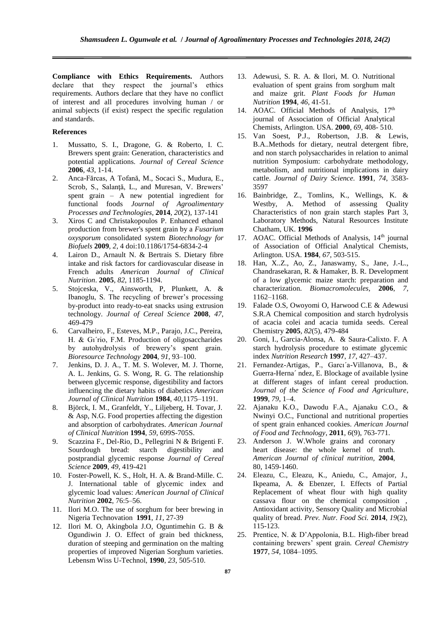**Compliance with Ethics Requirements.** Authors declare that they respect the journal's ethics requirements. Authors declare that they have no conflict of interest and all procedures involving human / or animal subjects (if exist) respect the specific regulation and standards.

#### **References**

- 1. Mussatto, S. I., Dragone, G. & Roberto, I. C. Brewers spent grain: Generation, characteristics and potential applications. *Journal of Cereal Science* **2006**, *43*, 1-14.
- 2. Anca-Fărcas, A Tofană, M., Socaci S., Mudura, E., Scrob, S., Salanţă, L., and Muresan, V. Brewers' spent grain – A new potential ingredient for functional foods *Journal of Agroalimentary Processes and Technologies*, **2014**, *20*(2), 137-141
- 3. Xiros C and Christakopoulos P. Enhanced ethanol production from brewer's spent grain by a *Fusarium oxysporum* consolidated system *Biotechnology for Biofuels* **2009**, *2*, 4 doi:10.1186/1754-6834-2-4
- 4. Lairon D., Arnault N. & Bertrais S. Dietary fibre intake and risk factors for cardiovascular disease in French adults *American Journal of Clinical Nutrition*. **2005**, *82*, 1185-1194.
- 5. Stojceska, V., Ainsworth, P, Plunkett, A. & Ibanoglu, S. The recycling of brewer's processing by-product into ready-to-eat snacks using extrusion technology. *Journal of Cereal Science* **2008**, *47*, 469-479
- 6. Carvalheiro, F., Esteves, M.P., Parajo, J.C., Pereira, H. & Gı´rio, F.M. Production of oligosaccharides by autohydrolysis of brewery's spent grain. *Bioresource Technology* **2004**, *91*, 93–100.
- 7. Jenkins, D. J. A., T. M. S. Wolever, M. J. Thorne, A. L. Jenkins, G. S. Wong, R. G. The relationship between glycemic response, digestibility and factors influencing the dietary habits of diabetics *American Journal of Clinical Nutrition* **1984**, *40*,1175–1191.
- 8. Björck, I. M., Granfeldt, Y., Liljeberg, H. Tovar, J. & Asp, N.G. Food properties affecting the digestion and absorption of carbohydrates. *American Journal of Clinical Nutrition* **1994**, *59*, 699S-705S.
- 9. Scazzina F., Del-Rio, D., Pellegrini N & Brigenti F. Sourdough bread: starch digestibility and postprandial glycemic response *Journal of Cereal Science* **2009**, *49*, 419-421
- 10. Foster-Powell, K. S., Holt, H. A. & Brand-Mille. C. J. International table of glycemic index and glycemic load values: *American Journal of Clinical Nutrition* **2002**, 76:5–56.
- 11. Ilori M.O. The use of sorghum for beer brewing in Nigeria Technovation **1991**, *11*, 27-39
- 12. Ilori M. O, Akingbola J.O, Oguntimehin G. B & Ogundiwin J. O. Effect of grain bed thickness, duration of steeping and germination on the malting properties of improved Nigerian Sorghum varieties. Lebensm Wiss U-Technol, **1990**, *23*, 505-510.
- 13. Adewusi, S. R. A. & Ilori, M. O. Nutritional evaluation of spent grains from sorghum malt and maize grit. *Plant Foods for Human Nutrition* **1994**, *46*, 41-51.
- 14. AOAC. Official Methods of Analysis, 17<sup>th</sup> journal of Association of Official Analytical Chemists, Arlington. USA. **2000**, *69*, 408- 510.
- 15. Van Soest, P.J., Robertson, J.B. & Lewis, B.A..Methods for dietary, neutral detergent fibre, and non starch polysaccharides in relation to animal nutrition Symposium: carbohydrate methodology, metabolism, and nutritional implications in dairy cattle. *Journal of Dairy Science.* **1991**, *74*, 3583- 3597
- 16. Bainbridge, Z., Tomlins, K., Wellings, K. & Westby, A. Method of assessing Quality Characteristics of non grain starch staples Part 3, Laboratory Methods, Natural Resources Institute Chatham, UK. **1996**
- 17. AOAC. Official Methods of Analysis, 14<sup>th</sup> journal of Association of Official Analytical Chemists, Arlington. USA. **1984**, *67*, 503-515.
- 18. Han, X..Z., Ao, Z., Janaswamy, S., Jane, J.-L., Chandrasekaran, R. & Hamaker, B. R. Development of a low glycemic maize starch: preparation and characterization. *Biomacromolecules,* **2006**, *7*, 1162–1168.
- 19. Falade O.S, Owoyomi O, Harwood C.E & Adewusi S.R.A Chemical composition and starch hydrolysis of acacia colei and acacia tumida seeds. Cereal Chemistry **2005**, *82*(5), 479-484
- 20. Goni, I., Garcia-Alonsa, A. & Saura-Calixto. F. A starch hydrolysis procedure to estimate glycemic index *Nutrition Research* **1997**, *17*, 427–437.
- 21. Fernandez-Artigas, P., Garcı´a-Villanova, B., & Guerra-Herna´ ndez, E. Blockage of available lysine at different stages of infant cereal production. *Journal of the Science of Food and Agriculture*, **1999**, *79*, 1–4.
- 22. Ajanaku K.O., Dawodu F.A., Ajanaku C.O., & Nwinyi O.C., Functional and nutritional properties of spent grain enhanced cookies. *American Journal of Food and Technology*, **2011**, *6*(9), 763-771.
- 23. Anderson J. W.Whole grains and coronary heart disease: the whole kernel of truth. *American Journal of clinical nutrition,* **2004**, 80, 1459-1460.
- 24. Eleazu, C., Eleazu, K., Aniedu, C., Amajor, J., Ikpeama, A. & Ebenzer, I. Effects of Partial Replacement of wheat flour with high quality cassava flour on the chemical composition , Antioxidant activity, Sensory Quality and Microbial quality of bread. *Prev. Nutr. Food Sci.* **2014**, *19*(2), 115-123.
- 25. Prentice, N. & D'Appolonia, B.L. High-fiber bread containing brewers' spent grain. *Cereal Chemistry* **1977**, *54*, 1084–1095.